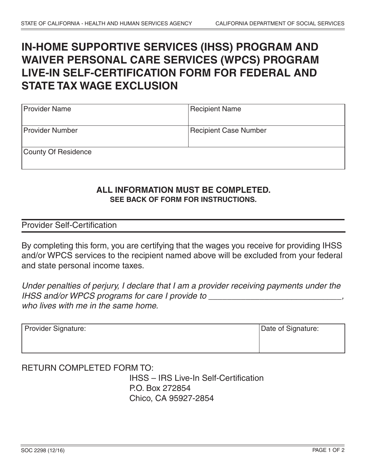## **IN-HOME SUPPORTIVE SERVICES (IHSS) PROGRAM AND WAIVER PERSONAL CARE SERVICES (WPCS) PROGRAM LIVE-IN SELF-CERTIFICATION FORM FOR FEDERAL AND STATE TAX WAGE EXCLUSION**

| <b>Provider Name</b>   | <b>Recipient Name</b>        |
|------------------------|------------------------------|
| <b>Provider Number</b> | <b>Recipient Case Number</b> |
| County Of Residence    |                              |

## **ALL INFORMATION MUST BE COMPLETED. SEE BACK OF FORM FOR INSTRUCTIONS.**

Provider Self-Certification

By completing this form, you are certifying that the wages you receive for providing IHSS and/or WPCS services to the recipient named above will be excluded from your federal and state personal income taxes.

*Under penalties of perjury, I declare that I am a provider receiving payments under the IHSS and/or WPCS programs for care I provide to \_\_\_\_\_\_\_\_\_\_\_\_\_\_\_\_\_\_\_\_\_\_\_\_\_\_\_\_\_, who lives with me in the same home.*

| Provider Signature: | Date of Signature: |
|---------------------|--------------------|
|                     |                    |

## RETURN COMPLETED FORM TO: IHSS – IRS Live-In Self-Certification P.O. Box 272854 Chico, CA 95927-2854